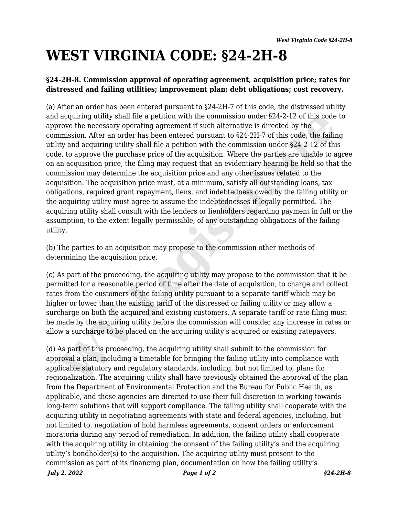## **WEST VIRGINIA CODE: §24-2H-8**

## **§24-2H-8. Commission approval of operating agreement, acquisition price; rates for distressed and failing utilities; improvement plan; debt obligations; cost recovery.**

(a) After an order has been entered pursuant to §24-2H-7 of this code, the distressed utility and acquiring utility shall file a petition with the commission under §24-2-12 of this code to approve the necessary operating agreement if such alternative is directed by the commission. After an order has been entered pursuant to §24-2H-7 of this code, the failing utility and acquiring utility shall file a petition with the commission under §24-2-12 of this code, to approve the purchase price of the acquisition. Where the parties are unable to agree on an acquisition price, the filing may request that an evidentiary hearing be held so that the commission may determine the acquisition price and any other issues related to the acquisition. The acquisition price must, at a minimum, satisfy all outstanding loans, tax obligations, required grant repayment, liens, and indebtedness owed by the failing utility or the acquiring utility must agree to assume the indebtednesses if legally permitted. The acquiring utility shall consult with the lenders or lienholders regarding payment in full or the assumption, to the extent legally permissible, of any outstanding obligations of the failing utility. a acquiring utility shall file a petition with the commission under \$24-2-12 of this code<br>now the necossary operating agreement if such alternative is directed by the<br>mission. After an order has been entered pursuant to \$2

(b) The parties to an acquisition may propose to the commission other methods of determining the acquisition price.

(c) As part of the proceeding, the acquiring utility may propose to the commission that it be permitted for a reasonable period of time after the date of acquisition, to charge and collect rates from the customers of the failing utility pursuant to a separate tariff which may be higher or lower than the existing tariff of the distressed or failing utility or may allow a surcharge on both the acquired and existing customers. A separate tariff or rate filing must be made by the acquiring utility before the commission will consider any increase in rates or allow a surcharge to be placed on the acquiring utility's acquired or existing ratepayers.

*July 2, 2022 Page 1 of 2 §24-2H-8* (d) As part of this proceeding, the acquiring utility shall submit to the commission for approval a plan, including a timetable for bringing the failing utility into compliance with applicable statutory and regulatory standards, including, but not limited to, plans for regionalization. The acquiring utility shall have previously obtained the approval of the plan from the Department of Environmental Protection and the Bureau for Public Health, as applicable, and those agencies are directed to use their full discretion in working towards long-term solutions that will support compliance. The failing utility shall cooperate with the acquiring utility in negotiating agreements with state and federal agencies, including, but not limited to, negotiation of hold harmless agreements, consent orders or enforcement moratoria during any period of remediation. In addition, the failing utility shall cooperate with the acquiring utility in obtaining the consent of the failing utility's and the acquiring utility's bondholder(s) to the acquisition. The acquiring utility must present to the commission as part of its financing plan, documentation on how the failing utility's